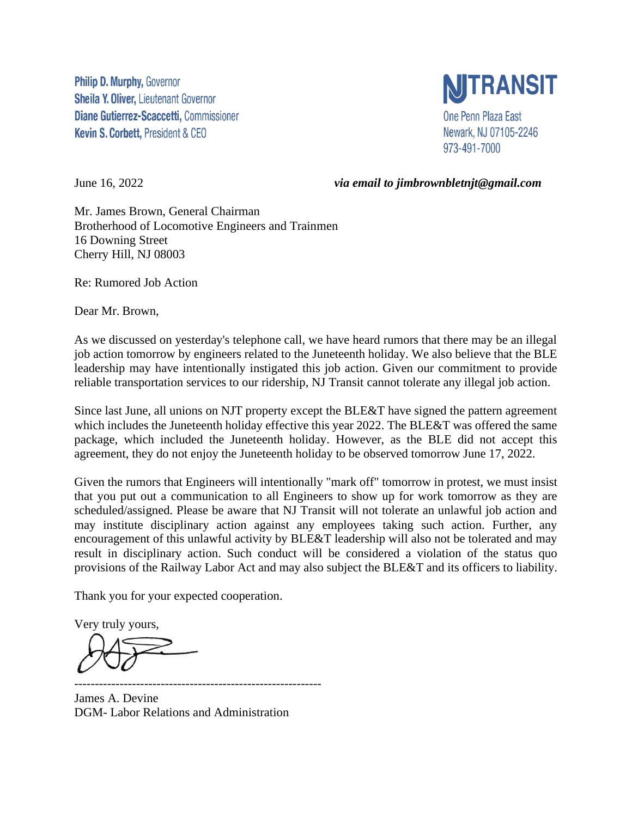**Philip D. Murphy, Governor Sheila Y. Oliver, Lieutenant Governor** Diane Gutierrez-Scaccetti, Commissioner Kevin S. Corbett, President & CEO



June 16, 2022 *via email to jimbrownbletnjt@gmail.com*

Mr. James Brown, General Chairman Brotherhood of Locomotive Engineers and Trainmen 16 Downing Street Cherry Hill, NJ 08003

Re: Rumored Job Action

Dear Mr. Brown,

As we discussed on yesterday's telephone call, we have heard rumors that there may be an illegal job action tomorrow by engineers related to the Juneteenth holiday. We also believe that the BLE leadership may have intentionally instigated this job action. Given our commitment to provide reliable transportation services to our ridership, NJ Transit cannot tolerate any illegal job action.

Since last June, all unions on NJT property except the BLE&T have signed the pattern agreement which includes the Juneteenth holiday effective this year 2022. The BLE&T was offered the same package, which included the Juneteenth holiday. However, as the BLE did not accept this agreement, they do not enjoy the Juneteenth holiday to be observed tomorrow June 17, 2022.

Given the rumors that Engineers will intentionally "mark off" tomorrow in protest, we must insist that you put out a communication to all Engineers to show up for work tomorrow as they are scheduled/assigned. Please be aware that NJ Transit will not tolerate an unlawful job action and may institute disciplinary action against any employees taking such action. Further, any encouragement of this unlawful activity by BLE&T leadership will also not be tolerated and may result in disciplinary action. Such conduct will be considered a violation of the status quo provisions of the Railway Labor Act and may also subject the BLE&T and its officers to liability.

Thank you for your expected cooperation.

Very truly yours,

------------------------------------------------------------ James A. Devine DGM- Labor Relations and Administration